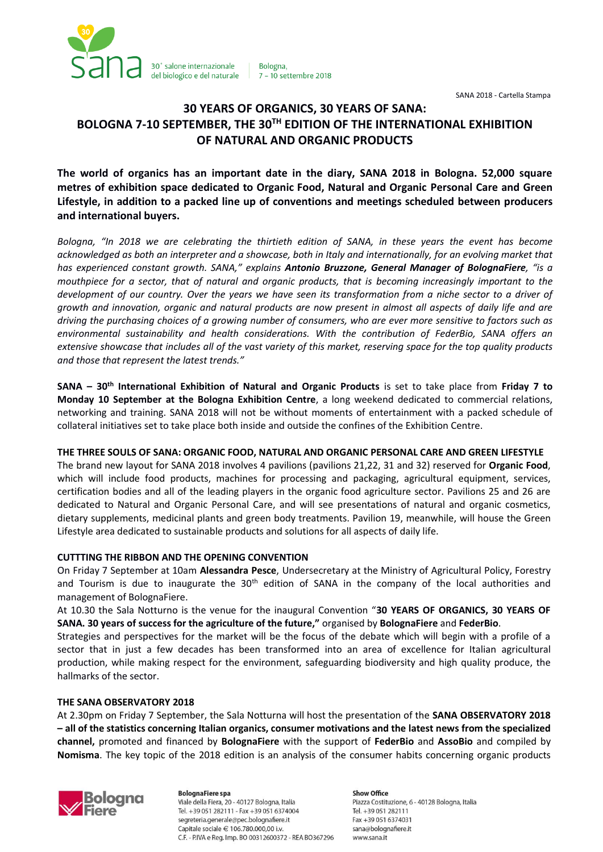

Bologna. 7 - 10 settembre 2018

SANA 2018 - Cartella Stampa

# **30 YEARS OF ORGANICS, 30 YEARS OF SANA: BOLOGNA 7-10 SEPTEMBER, THE 30TH EDITION OF THE INTERNATIONAL EXHIBITION OF NATURAL AND ORGANIC PRODUCTS**

**The world of organics has an important date in the diary, SANA 2018 in Bologna. 52,000 square metres of exhibition space dedicated to Organic Food, Natural and Organic Personal Care and Green Lifestyle, in addition to a packed line up of conventions and meetings scheduled between producers and international buyers.**

*Bologna, "In 2018 we are celebrating the thirtieth edition of SANA, in these years the event has become acknowledged as both an interpreter and a showcase, both in Italy and internationally, for an evolving market that has experienced constant growth. SANA," explains Antonio Bruzzone, General Manager of BolognaFiere, "is a mouthpiece for a sector, that of natural and organic products, that is becoming increasingly important to the development of our country. Over the years we have seen its transformation from a niche sector to a driver of growth and innovation, organic and natural products are now present in almost all aspects of daily life and are driving the purchasing choices of a growing number of consumers, who are ever more sensitive to factors such as environmental sustainability and health considerations. With the contribution of FederBio, SANA offers an extensive showcase that includes all of the vast variety of this market, reserving space for the top quality products and those that represent the latest trends."*

**SANA – 30th International Exhibition of Natural and Organic Products** is set to take place from **Friday 7 to Monday 10 September at the Bologna Exhibition Centre**, a long weekend dedicated to commercial relations, networking and training. SANA 2018 will not be without moments of entertainment with a packed schedule of collateral initiatives set to take place both inside and outside the confines of the Exhibition Centre.

## **THE THREE SOULS OF SANA: ORGANIC FOOD, NATURAL AND ORGANIC PERSONAL CARE AND GREEN LIFESTYLE**

The brand new layout for SANA 2018 involves 4 pavilions (pavilions 21,22, 31 and 32) reserved for **Organic Food**, which will include food products, machines for processing and packaging, agricultural equipment, services, certification bodies and all of the leading players in the organic food agriculture sector. Pavilions 25 and 26 are dedicated to Natural and Organic Personal Care, and will see presentations of natural and organic cosmetics, dietary supplements, medicinal plants and green body treatments. Pavilion 19, meanwhile, will house the Green Lifestyle area dedicated to sustainable products and solutions for all aspects of daily life.

## **CUTTTING THE RIBBON AND THE OPENING CONVENTION**

On Friday 7 September at 10am **Alessandra Pesce**, Undersecretary at the Ministry of Agricultural Policy, Forestry and Tourism is due to inaugurate the 30<sup>th</sup> edition of SANA in the company of the local authorities and management of BolognaFiere.

At 10.30 the Sala Notturno is the venue for the inaugural Convention "**30 YEARS OF ORGANICS, 30 YEARS OF SANA. 30 years of success for the agriculture of the future,"** organised by **BolognaFiere** and **FederBio**.

Strategies and perspectives for the market will be the focus of the debate which will begin with a profile of a sector that in just a few decades has been transformed into an area of excellence for Italian agricultural production, while making respect for the environment, safeguarding biodiversity and high quality produce, the hallmarks of the sector.

### **THE SANA OBSERVATORY 2018**

At 2.30pm on Friday 7 September, the Sala Notturna will host the presentation of the **SANA OBSERVATORY 2018 – all of the statistics concerning Italian organics, consumer motivations and the latest news from the specialized channel,** promoted and financed by **BolognaFiere** with the support of **FederBio** and **AssoBio** and compiled by **Nomisma**. The key topic of the 2018 edition is an analysis of the consumer habits concerning organic products



**BolognaFiere spa** Viale della Fiera, 20 - 40127 Bologna, Italia Tel. +39 051 282111 - Fax +39 051 6374004 segreteria.generale@pec.bolognafiere.it Capitale sociale € 106.780.000,00 i.v. C.F. - P.IVA e Reg. Imp. BO 00312600372 - REA BO367296

**Show Office** Piazza Costituzione, 6 - 40128 Bologna, Italia Tel. +39 051 282111 Fax +39 051 6374031 sana@bolognafiere.it www.sana.it